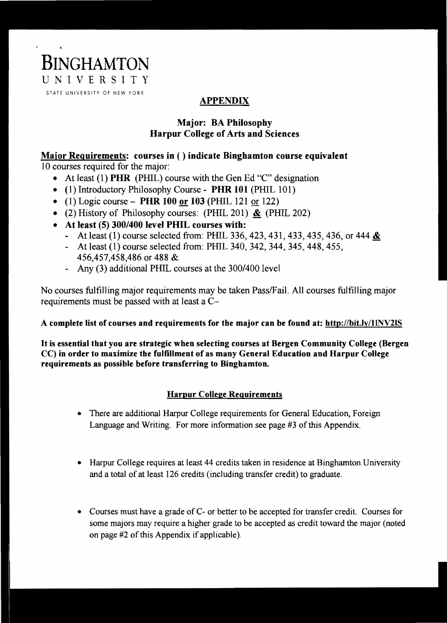

# APPENDIX

## Major: BA Philosophy Harpur College of Arts and Sciences

### Major Requirements: courses in () indicate Binghamton course equivalent 10 courses required for the major:

- At least (1) PHR (PHIL) course with the Gen Ed "C" designation
- (1) Introductory Philosophy Course PHR 101 (PHIL 101)
- (1) Logic course PHR 100 or 103 (PHIL 121 or 122)
- (2) History of Philosophy courses: (PHIL 201)  $\&$  (PHIL 202)
- At least (5) 300/400 level PHIL courses with:
	- At least (1) course selected from: PHIL 336, 423, 431, 433, 435, 436, or 444  $\underline{\&}$
	- At least (1) course selected from: PHIL 340, 342, 344, 345,448,455, 456,457,458,486 or 488 &
	- Any (3) additional PHIL courses at the *300/400* level

No courses fulfilling major requirements may be taken Pass/Fail. All courses fulfilling major requirements must be passed with at least a C-

### A complete list of courses and requirements for the major can be found at: http://bit.ly/llNV2IS

It is essential that you are strategic when selecting courses at Bergen Community College (Bergen CC) in order to maximize the fulfillment of as many General Education and Harpur College requirements as possible before transferring to Binghamton.

## Harpur College Requirements

- There are additional Harpur College requirements for General Education, Foreign Language and Writing. For more information see page #3 of this Appendix.
- Harpur College requires at least 44 credits taken in residence at Binghamton University and a total of at least 126 credits (including transfer credit) to graduate.
- Courses must have a grade of C- or better to be accepted for transfer credit. Courses for some majors may require a higher grade to be accepted as credit toward the major (noted on page  $#2$  of this Appendix if applicable).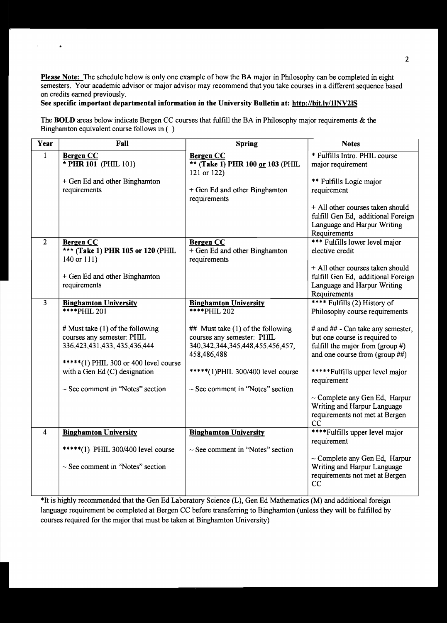Please Note: The schedule below is only one example of how the BA major in Philosophy can be completed in eight semesters. Your academic advisor or major advisor may recommend that you take courses in a different sequence based on credits earned previously.

### See specific important departmental information in the University Bulletin at: http://bit.ly/1lNV2IS

 $\ddot{\phantom{1}}$ 

 $\bullet$ 

The **BOLD** areas below indicate Bergen CC courses that fulfill the BA in Philosophy major requirements & the Binghamton equivalent course follows in ( )

| Year                    | Fall                                                                                                                                                                                                                                                                     | <b>Spring</b>                                                                                                                                                                                                                                                  | <b>Notes</b>                                                                                                                                                                                                                                                                                                                          |
|-------------------------|--------------------------------------------------------------------------------------------------------------------------------------------------------------------------------------------------------------------------------------------------------------------------|----------------------------------------------------------------------------------------------------------------------------------------------------------------------------------------------------------------------------------------------------------------|---------------------------------------------------------------------------------------------------------------------------------------------------------------------------------------------------------------------------------------------------------------------------------------------------------------------------------------|
| 1                       | <b>Bergen CC</b><br>* PHR 101 (PHIL 101)<br>+ Gen Ed and other Binghamton<br>requirements                                                                                                                                                                                | <b>Bergen CC</b><br>** (Take 1) PHR 100 or 103 (PHIL<br>121 or 122)<br>+ Gen Ed and other Binghamton<br>requirements                                                                                                                                           | * Fulfills Intro. PHIL course<br>major requirement<br>** Fulfills Logic major<br>requirement<br>+ All other courses taken should<br>fulfill Gen Ed, additional Foreign                                                                                                                                                                |
|                         |                                                                                                                                                                                                                                                                          |                                                                                                                                                                                                                                                                | Language and Harpur Writing<br>Requirements                                                                                                                                                                                                                                                                                           |
| $\overline{2}$          | <b>Bergen CC</b><br>*** (Take 1) PHR 105 or 120 (PHIL<br>140 or 111)                                                                                                                                                                                                     | <b>Bergen CC</b><br>+ Gen Ed and other Binghamton<br>requirements                                                                                                                                                                                              | *** Fulfills lower level major<br>elective credit<br>+ All other courses taken should                                                                                                                                                                                                                                                 |
|                         | + Gen Ed and other Binghamton<br>requirements                                                                                                                                                                                                                            |                                                                                                                                                                                                                                                                | fulfill Gen Ed, additional Foreign<br>Language and Harpur Writing<br>Requirements                                                                                                                                                                                                                                                     |
| $\overline{\mathbf{3}}$ | <b>Binghamton University</b><br>****PHIL 201<br># Must take $(1)$ of the following<br>courses any semester: PHIL<br>336, 423, 431, 433, 435, 436, 444<br>*****(1) PHIL 300 or 400 level course<br>with a Gen Ed (C) designation<br>$\sim$ See comment in "Notes" section | <b>Binghamton University</b><br><b>****PHIL 202</b><br>## Must take (1) of the following<br>courses any semester: PHIL<br>340, 342, 344, 345, 448, 455, 456, 457,<br>458,486,488<br>*****(1)PHIL 300/400 level course<br>$\sim$ See comment in "Notes" section | **** Fulfills (2) History of<br>Philosophy course requirements<br># and ## - Can take any semester,<br>but one course is required to<br>fulfill the major from $(group \#)$<br>and one course from (group ##)<br>***** Fulfills upper level major<br>requirement<br>$\sim$ Complete any Gen Ed, Harpur<br>Writing and Harpur Language |
|                         |                                                                                                                                                                                                                                                                          |                                                                                                                                                                                                                                                                | requirements not met at Bergen<br>CC                                                                                                                                                                                                                                                                                                  |
| 4                       | <b>Binghamton University</b><br>*****(1) PHIL 300/400 level course<br>$\sim$ See comment in "Notes" section                                                                                                                                                              | <b>Binghamton University</b><br>$\sim$ See comment in "Notes" section                                                                                                                                                                                          | ****Fulfills upper level major<br>requirement<br>$\sim$ Complete any Gen Ed, Harpur<br>Writing and Harpur Language<br>requirements not met at Bergen<br>CC                                                                                                                                                                            |

\*It is highly recommended that the Gen Ed Laboratory Science (L), Gen Ed Mathematics (M) and additional foreign language requirement be completed at Bergen CC before transferring to Binghamton (unless they will be fulfilled by courses required for the major that must be taken at Binghamton University)